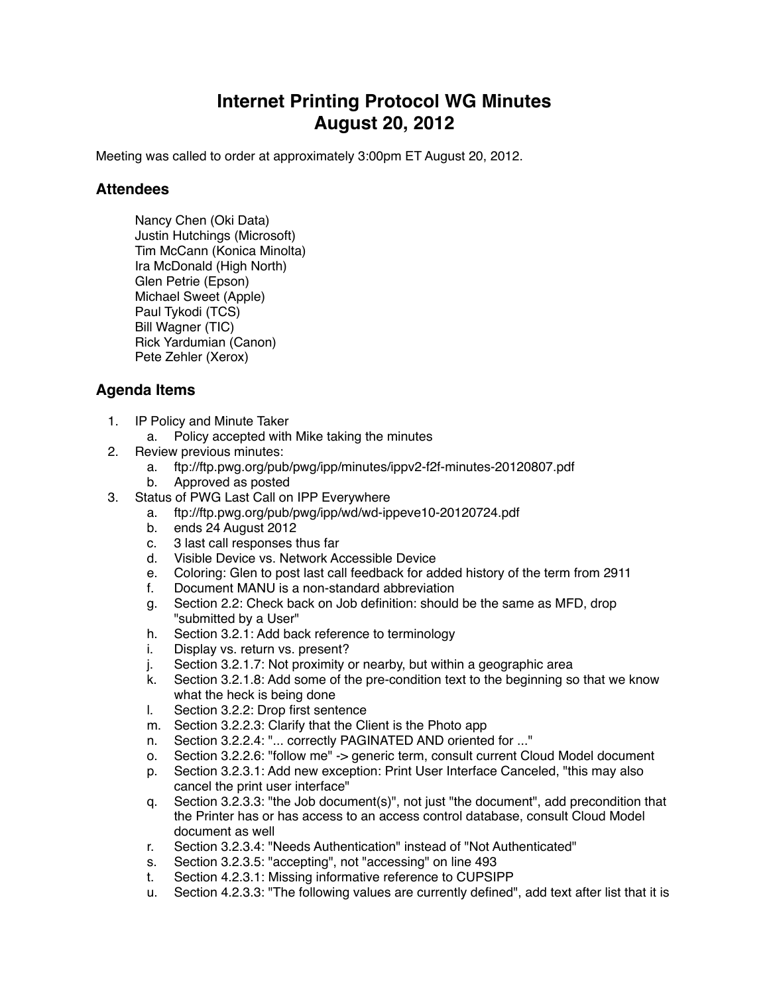## **Internet Printing Protocol WG Minutes August 20, 2012**

Meeting was called to order at approximately 3:00pm ET August 20, 2012.

## **Attendees**

Nancy Chen (Oki Data) Justin Hutchings (Microsoft) Tim McCann (Konica Minolta) Ira McDonald (High North) Glen Petrie (Epson) Michael Sweet (Apple) Paul Tykodi (TCS) Bill Wagner (TIC) Rick Yardumian (Canon) Pete Zehler (Xerox)

## **Agenda Items**

- 1. IP Policy and Minute Taker
	- a. Policy accepted with Mike taking the minutes
- 2. Review previous minutes:
	- a. ftp://ftp.pwg.org/pub/pwg/ipp/minutes/ippv2-f2f-minutes-20120807.pdf
	- b. Approved as posted
- 3. Status of PWG Last Call on IPP Everywhere
	- a. ftp://ftp.pwg.org/pub/pwg/ipp/wd/wd-ippeve10-20120724.pdf
	- b. ends 24 August 2012
	- c. 3 last call responses thus far
	- d. Visible Device vs. Network Accessible Device
	- e. Coloring: Glen to post last call feedback for added history of the term from 2911
	- f. Document MANU is a non-standard abbreviation
	- g. Section 2.2: Check back on Job definition: should be the same as MFD, drop "submitted by a User"
	- h. Section 3.2.1: Add back reference to terminology
	- i. Display vs. return vs. present?
	- j. Section 3.2.1.7: Not proximity or nearby, but within a geographic area
	- k. Section 3.2.1.8: Add some of the pre-condition text to the beginning so that we know what the heck is being done
	- l. Section 3.2.2: Drop first sentence
	- m. Section 3.2.2.3: Clarify that the Client is the Photo app
	- n. Section 3.2.2.4: "... correctly PAGINATED AND oriented for ..."
	- o. Section 3.2.2.6: "follow me" -> generic term, consult current Cloud Model document
	- p. Section 3.2.3.1: Add new exception: Print User Interface Canceled, "this may also cancel the print user interface"
	- q. Section 3.2.3.3: "the Job document(s)", not just "the document", add precondition that the Printer has or has access to an access control database, consult Cloud Model document as well
	- r. Section 3.2.3.4: "Needs Authentication" instead of "Not Authenticated"
	- s. Section 3.2.3.5: "accepting", not "accessing" on line 493
	- t. Section 4.2.3.1: Missing informative reference to CUPSIPP
	- u. Section 4.2.3.3: "The following values are currently defined", add text after list that it is